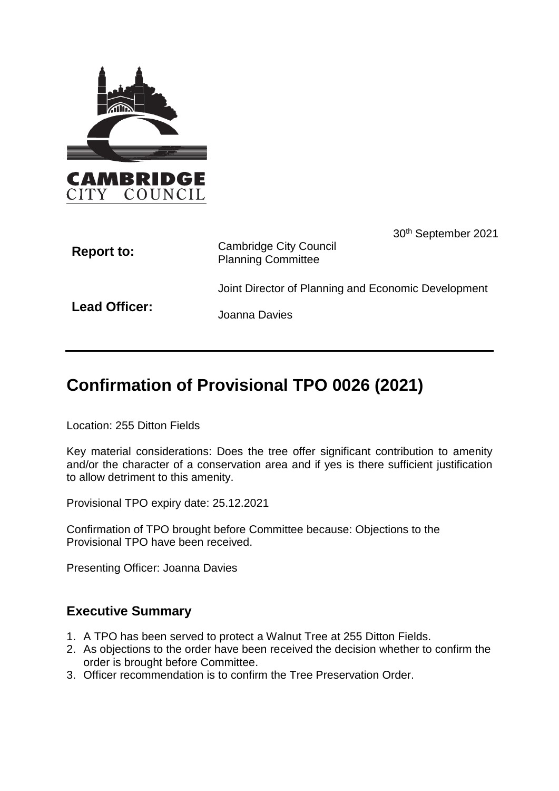

| <b>Report to:</b> | 30 <sup>th</sup> September 2021<br><b>Cambridge City Council</b><br><b>Planning Committee</b> |
|-------------------|-----------------------------------------------------------------------------------------------|
|                   | Joint Director of Planning and Economic Development                                           |
| Lead Officer:     | Joanna Davies                                                                                 |

# **Confirmation of Provisional TPO 0026 (2021)**

Location: 255 Ditton Fields

Key material considerations: Does the tree offer significant contribution to amenity and/or the character of a conservation area and if yes is there sufficient justification to allow detriment to this amenity.

Provisional TPO expiry date: 25.12.2021

Confirmation of TPO brought before Committee because: Objections to the Provisional TPO have been received.

Presenting Officer: Joanna Davies

### **Executive Summary**

- 1. A TPO has been served to protect a Walnut Tree at 255 Ditton Fields.
- 2. As objections to the order have been received the decision whether to confirm the order is brought before Committee.
- 3. Officer recommendation is to confirm the Tree Preservation Order.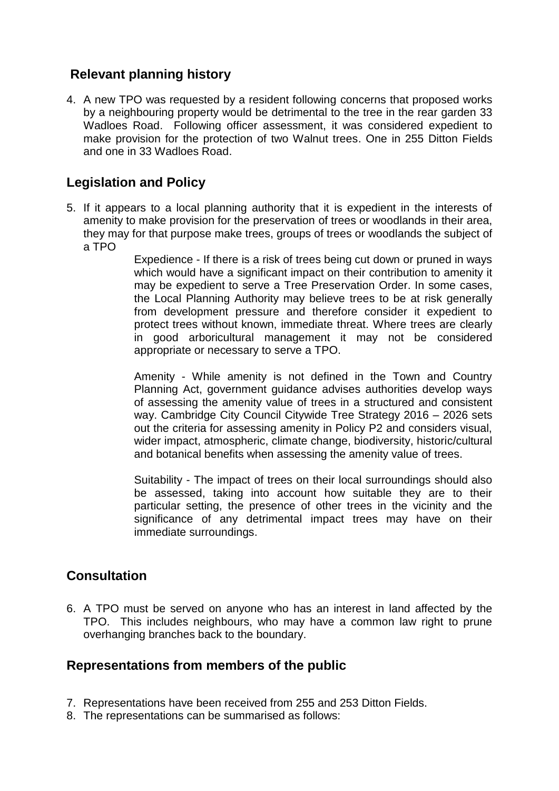# **Relevant planning history**

4. A new TPO was requested by a resident following concerns that proposed works by a neighbouring property would be detrimental to the tree in the rear garden 33 Wadloes Road. Following officer assessment, it was considered expedient to make provision for the protection of two Walnut trees. One in 255 Ditton Fields and one in 33 Wadloes Road.

# **Legislation and Policy**

5. If it appears to a local planning authority that it is expedient in the interests of amenity to make provision for the preservation of trees or woodlands in their area, they may for that purpose make trees, groups of trees or woodlands the subject of a TPO

> Expedience - If there is a risk of trees being cut down or pruned in ways which would have a significant impact on their contribution to amenity it may be expedient to serve a Tree Preservation Order. In some cases, the Local Planning Authority may believe trees to be at risk generally from development pressure and therefore consider it expedient to protect trees without known, immediate threat. Where trees are clearly in good arboricultural management it may not be considered appropriate or necessary to serve a TPO.

> Amenity - While amenity is not defined in the Town and Country Planning Act, government guidance advises authorities develop ways of assessing the amenity value of trees in a structured and consistent way. Cambridge City Council Citywide Tree Strategy 2016 – 2026 sets out the criteria for assessing amenity in Policy P2 and considers visual, wider impact, atmospheric, climate change, biodiversity, historic/cultural and botanical benefits when assessing the amenity value of trees.

> Suitability - The impact of trees on their local surroundings should also be assessed, taking into account how suitable they are to their particular setting, the presence of other trees in the vicinity and the significance of any detrimental impact trees may have on their immediate surroundings.

### **Consultation**

6. A TPO must be served on anyone who has an interest in land affected by the TPO. This includes neighbours, who may have a common law right to prune overhanging branches back to the boundary.

### **Representations from members of the public**

- 7. Representations have been received from 255 and 253 Ditton Fields.
- 8. The representations can be summarised as follows: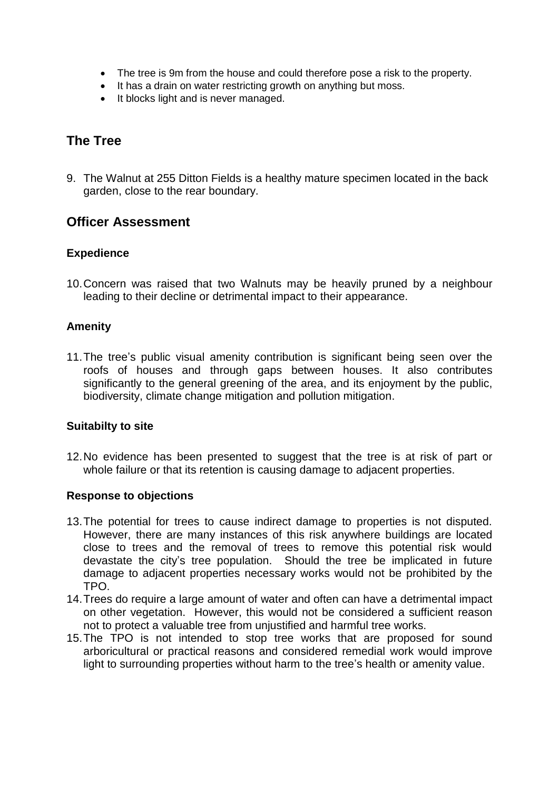- The tree is 9m from the house and could therefore pose a risk to the property.
- It has a drain on water restricting growth on anything but moss.
- It blocks light and is never managed.

### **The Tree**

9. The Walnut at 255 Ditton Fields is a healthy mature specimen located in the back garden, close to the rear boundary.

### **Officer Assessment**

#### **Expedience**

10.Concern was raised that two Walnuts may be heavily pruned by a neighbour leading to their decline or detrimental impact to their appearance.

#### **Amenity**

11.The tree's public visual amenity contribution is significant being seen over the roofs of houses and through gaps between houses. It also contributes significantly to the general greening of the area, and its enjoyment by the public, biodiversity, climate change mitigation and pollution mitigation.

#### **Suitabilty to site**

12.No evidence has been presented to suggest that the tree is at risk of part or whole failure or that its retention is causing damage to adjacent properties.

#### **Response to objections**

- 13.The potential for trees to cause indirect damage to properties is not disputed. However, there are many instances of this risk anywhere buildings are located close to trees and the removal of trees to remove this potential risk would devastate the city's tree population. Should the tree be implicated in future damage to adjacent properties necessary works would not be prohibited by the TPO.
- 14.Trees do require a large amount of water and often can have a detrimental impact on other vegetation. However, this would not be considered a sufficient reason not to protect a valuable tree from unjustified and harmful tree works.
- 15.The TPO is not intended to stop tree works that are proposed for sound arboricultural or practical reasons and considered remedial work would improve light to surrounding properties without harm to the tree's health or amenity value.